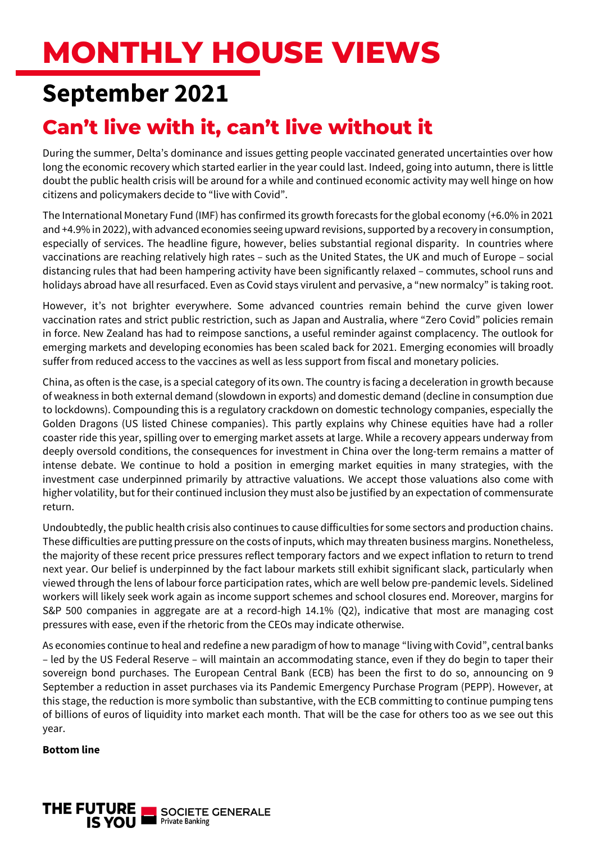# **MONTHLY HOUSE VIEWS**

# **September 2021**

## **Can't live with it, can't live without it**

During the summer, Delta's dominance and issues getting people vaccinated generated uncertainties over how long the economic recovery which started earlier in the year could last. Indeed, going into autumn, there is little doubt the public health crisis will be around for a while and continued economic activity may well hinge on how citizens and policymakers decide to "live with Covid".

The International Monetary Fund (IMF) has confirmed its growth forecasts for the global economy (+6.0% in 2021 and +4.9% in 2022), with advanced economies seeing upward revisions, supported by a recovery in consumption, especially of services. The headline figure, however, belies substantial regional disparity. In countries where vaccinations are reaching relatively high rates – such as the United States, the UK and much of Europe – social distancing rules that had been hampering activity have been significantly relaxed – commutes, school runs and holidays abroad have all resurfaced. Even as Covid stays virulent and pervasive, a "new normalcy" is taking root.

However, it's not brighter everywhere. Some advanced countries remain behind the curve given lower vaccination rates and strict public restriction, such as Japan and Australia, where "Zero Covid" policies remain in force. New Zealand has had to reimpose sanctions, a useful reminder against complacency. The outlook for emerging markets and developing economies has been scaled back for 2021. Emerging economies will broadly suffer from reduced access to the vaccines as well as less support from fiscal and monetary policies.

China, as often is the case, is a special category of its own. The country is facing a deceleration in growth because of weakness in both external demand (slowdown in exports) and domestic demand (decline in consumption due to lockdowns). Compounding this is a regulatory crackdown on domestic technology companies, especially the Golden Dragons (US listed Chinese companies). This partly explains why Chinese equities have had a roller coaster ride this year, spilling over to emerging market assets at large. While a recovery appears underway from deeply oversold conditions, the consequences for investment in China over the long-term remains a matter of intense debate. We continue to hold a position in emerging market equities in many strategies, with the investment case underpinned primarily by attractive valuations. We accept those valuations also come with higher volatility, but for their continued inclusion they must also be justified by an expectation of commensurate return.

Undoubtedly, the public health crisis also continues to cause difficulties for some sectors and production chains. These difficulties are putting pressure on the costs of inputs, which may threaten business margins. Nonetheless, the majority of these recent price pressures reflect temporary factors and we expect inflation to return to trend next year. Our belief is underpinned by the fact labour markets still exhibit significant slack, particularly when viewed through the lens of labour force participation rates, which are well below pre-pandemic levels. Sidelined workers will likely seek work again as income support schemes and school closures end. Moreover, margins for S&P 500 companies in aggregate are at a record-high 14.1% (Q2), indicative that most are managing cost pressures with ease, even if the rhetoric from the CEOs may indicate otherwise.

As economies continue to heal and redefine a new paradigm of how to manage "living with Covid", central banks – led by the US Federal Reserve – will maintain an accommodating stance, even if they do begin to taper their sovereign bond purchases. The European Central Bank (ECB) has been the first to do so, announcing on 9 September a reduction in asset purchases via its Pandemic Emergency Purchase Program (PEPP). However, at this stage, the reduction is more symbolic than substantive, with the ECB committing to continue pumping tens of billions of euros of liquidity into market each month. That will be the case for others too as we see out this year.

#### **Bottom line**

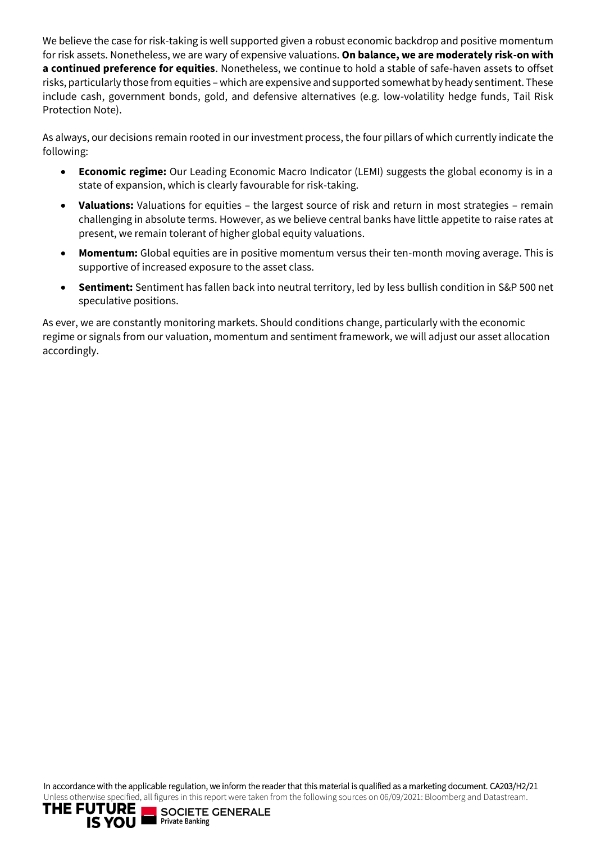We believe the case for risk-taking is well supported given a robust economic backdrop and positive momentum for risk assets. Nonetheless, we are wary of expensive valuations. **On balance, we are moderately risk-on with a continued preference for equities**. Nonetheless, we continue to hold a stable of safe-haven assets to offset risks, particularly those from equities – which are expensive and supported somewhat by heady sentiment. These include cash, government bonds, gold, and defensive alternatives (e.g. low-volatility hedge funds, Tail Risk Protection Note).

As always, our decisions remain rooted in our investment process, the four pillars of which currently indicate the following:

- **Economic regime:** Our Leading Economic Macro Indicator (LEMI) suggests the global economy is in a state of expansion, which is clearly favourable for risk-taking.
- **Valuations:** Valuations for equities the largest source of risk and return in most strategies remain challenging in absolute terms. However, as we believe central banks have little appetite to raise rates at present, we remain tolerant of higher global equity valuations.
- **Momentum:** Global equities are in positive momentum versus their ten-month moving average. This is supportive of increased exposure to the asset class.
- **Sentiment:** Sentiment has fallen back into neutral territory, led by less bullish condition in S&P 500 net speculative positions.

As ever, we are constantly monitoring markets. Should conditions change, particularly with the economic regime or signals from our valuation, momentum and sentiment framework, we will adjust our asset allocation accordingly.

In accordance with the applicable regulation, we inform the reader that this material is qualified as a marketing document. CA203/H2/21 Unless otherwise specified, all figures in this report were taken from the following sources on 06/09/2021: Bloomberg and Datastream.

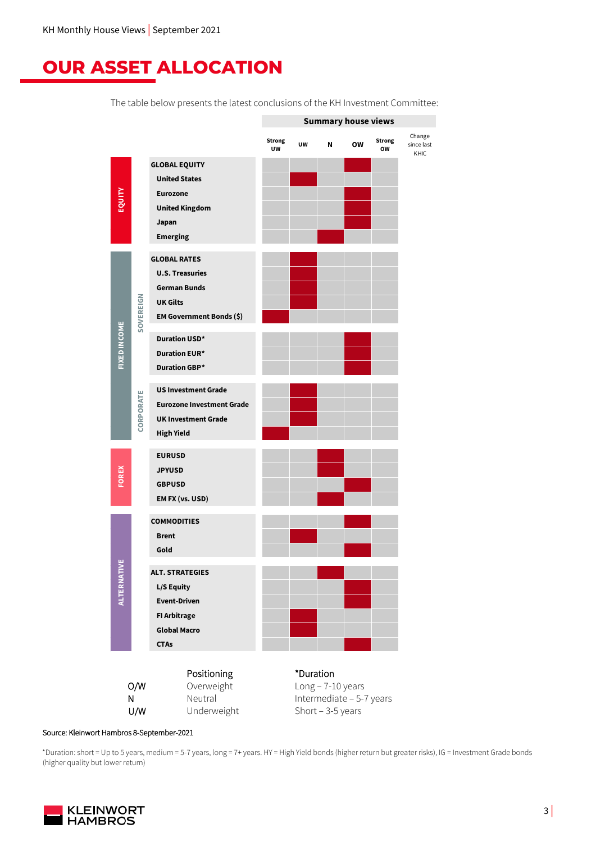### **OUR ASSET ALLOCATION**

The table below presents the latest conclusions of the KH Investment Committee:



Source: Kleinwort Hambros 8-September-2021

\*Duration: short = Up to 5 years, medium = 5-7 years, long = 7+ years. HY = High Yield bonds (higher return but greater risks), IG = Investment Grade bonds (higher quality but lower return)

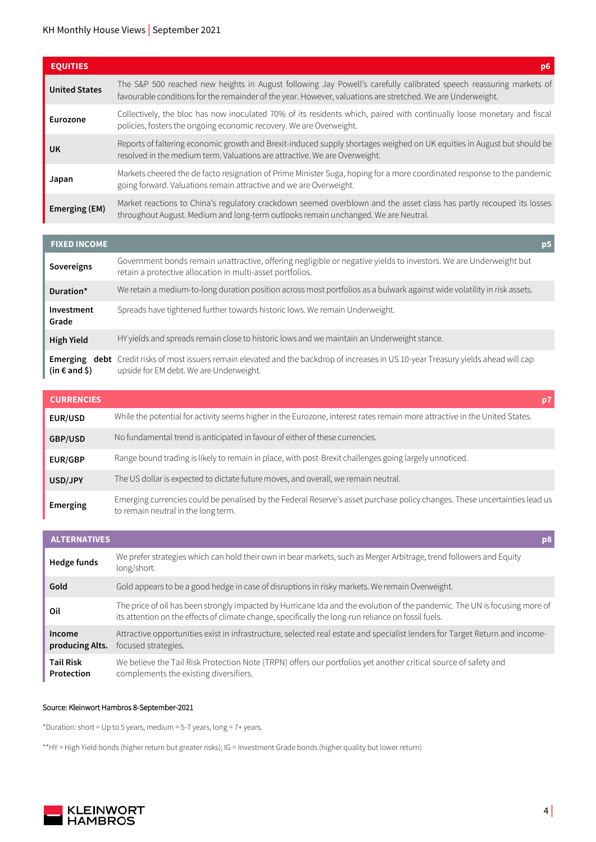#### KH Monthly House Views | September 2021

| <b>EQUITIES</b>      | D6                                                                                                                                                                                                                                |
|----------------------|-----------------------------------------------------------------------------------------------------------------------------------------------------------------------------------------------------------------------------------|
| <b>United States</b> | The S&P 500 reached new heights in August following Jay Powell's carefully calibrated speech reassuring markets of<br>favourable conditions for the remainder of the year. However, valuations are stretched. We are Underweight. |
| Eurozone             | Collectively, the bloc has now inoculated 70% of its residents which, paired with continually loose monetary and fiscal<br>policies, fosters the ongoing economic recovery. We are Overweight.                                    |
| <b>UK</b>            | Reports of faltering economic growth and Brexit-induced supply shortages weighed on UK equities in August but should be<br>resolved in the medium term. Valuations are attractive. We are Overweight.                             |
| Japan                | Markets cheered the de facto resignation of Prime Minister Suga, hoping for a more coordinated response to the pandemic<br>going forward. Valuations remain attractive and we are Overweight.                                     |
| Emerging (EM)        | Market reactions to China's regulatory crackdown seemed overblown and the asset class has partly recouped its losses<br>throughout August. Medium and long-term outlooks remain unchanged. We are Neutral.                        |

| <b>FIXED INCOME</b>    |                                                                                                                                                                                         | p <sub>5</sub> |
|------------------------|-----------------------------------------------------------------------------------------------------------------------------------------------------------------------------------------|----------------|
| Sovereigns             | Government bonds remain unattractive, offering negligible or negative yields to investors. We are Underweight but<br>retain a protective allocation in multi-asset portfolios.          |                |
| Duration*              | We retain a medium-to-long duration position across most portfolios as a bulwark against wide volatility in risk assets.                                                                |                |
| Investment<br>Grade    | Spreads have tightened further towards historic lows. We remain Underweight.                                                                                                            |                |
| <b>High Yield</b>      | HY yields and spreads remain close to historic lows and we maintain an Underweight stance.                                                                                              |                |
| (in $\epsilon$ and \$) | <b>Emerging debt</b> Credit risks of most issuers remain elevated and the backdrop of increases in US 10-year Treasury yields ahead will cap<br>upside for EM debt. We are Underweight. |                |

| <b>CURRENCIES</b> |                                                                                                                                                                   |  |
|-------------------|-------------------------------------------------------------------------------------------------------------------------------------------------------------------|--|
| <b>EUR/USD</b>    | While the potential for activity seems higher in the Eurozone, interest rates remain more attractive in the United States.                                        |  |
| GBP/USD           | No fundamental trend is anticipated in favour of either of these currencies.                                                                                      |  |
| <b>EUR/GBP</b>    | Range bound trading is likely to remain in place, with post-Brexit challenges going largely unnoticed.                                                            |  |
| USD/JPY           | The US dollar is expected to dictate future moves, and overall, we remain neutral.                                                                                |  |
| Emerging          | Emerging currencies could be penalised by the Federal Reserve's asset purchase policy changes. These uncertainties lead us<br>to remain neutral in the long term. |  |

| <b>ALTERNATIVES</b>            |                                                                                                                                                                                                                                   |
|--------------------------------|-----------------------------------------------------------------------------------------------------------------------------------------------------------------------------------------------------------------------------------|
| Hedge funds                    | We prefer strategies which can hold their own in bear markets, such as Merger Arbitrage, trend followers and Equity<br>long/short.                                                                                                |
| Gold                           | Gold appears to be a good hedge in case of disruptions in risky markets. We remain Overweight.                                                                                                                                    |
| Oil                            | The price of oil has been strongly impacted by Hurricane Ida and the evolution of the pandemic. The UN is focusing more of<br>its attention on the effects of climate change, specifically the long-run reliance on fossil fuels. |
| Income<br>producing Alts.      | Attractive opportunities exist in infrastructure, selected real estate and specialist lenders for Target Return and income-<br>focused strategies.                                                                                |
| <b>Tail Risk</b><br>Protection | We believe the Tail Risk Protection Note (TRPN) offers our portfolios yet another critical source of safety and<br>complements the existing diversifiers.                                                                         |

#### Source: Kleinwort Hambros 8-September-2021

\*Duration: short = Up to 5 years, medium = 5-7 years, long = 7+ years.

\*\*HY = High Yield bonds (higher return but greater risks); IG = Investment Grade bonds (higher quality but lower return)

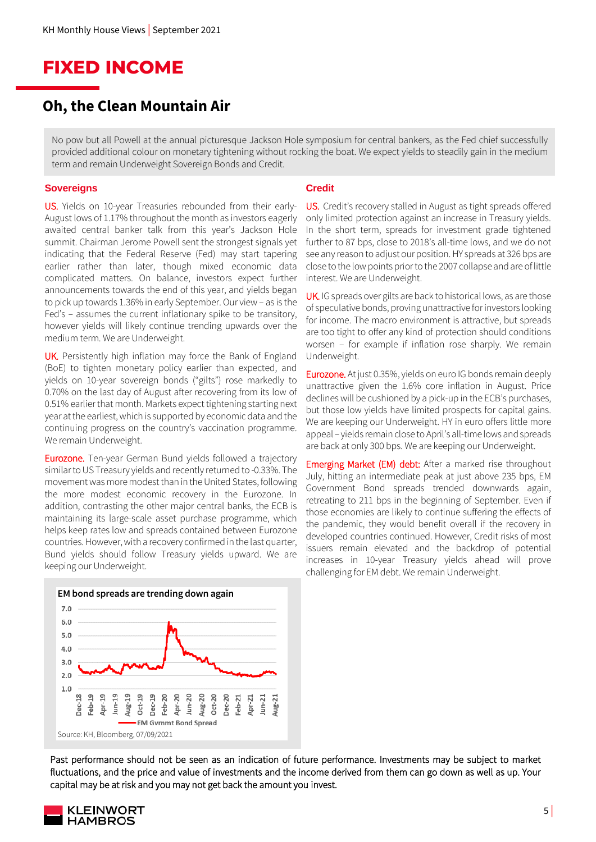### **FIXED INCOME**

### **Oh, the Clean Mountain Air**

No pow but all Powell at the annual picturesque Jackson Hole symposium for central bankers, as the Fed chief successfully provided additional colour on monetary tightening without rocking the boat. We expect yields to steadily gain in the medium term and remain Underweight Sovereign Bonds and Credit.

#### **Sovereigns**

US. Yields on 10-year Treasuries rebounded from their early-August lows of 1.17% throughout the month as investors eagerly awaited central banker talk from this year's Jackson Hole summit. Chairman Jerome Powell sent the strongest signals yet indicating that the Federal Reserve (Fed) may start tapering earlier rather than later, though mixed economic data complicated matters. On balance, investors expect further announcements towards the end of this year, and yields began to pick up towards 1.36% in early September. Our view – as is the Fed's – assumes the current inflationary spike to be transitory, however yields will likely continue trending upwards over the medium term. We are Underweight.

UK. Persistently high inflation may force the Bank of England (BoE) to tighten monetary policy earlier than expected, and yields on 10-year sovereign bonds ("gilts") rose markedly to 0.70% on the last day of August after recovering from its low of 0.51% earlier that month. Markets expect tightening starting next year at the earliest, which is supported by economic data and the continuing progress on the country's vaccination programme. We remain Underweight.

**Eurozone.** Ten-year German Bund yields followed a trajectory similar to US Treasury yields and recently returned to -0.33%. The movement was more modest than in the United States, following the more modest economic recovery in the Eurozone. In addition, contrasting the other major central banks, the ECB is maintaining its large-scale asset purchase programme, which helps keep rates low and spreads contained between Eurozone countries. However, with a recovery confirmed in the last quarter, Bund yields should follow Treasury yields upward. We are keeping our Underweight.

#### **Credit**

US. Credit's recovery stalled in August as tight spreads offered only limited protection against an increase in Treasury yields. In the short term, spreads for investment grade tightened further to 87 bps, close to 2018's all-time lows, and we do not see any reason to adjust our position. HY spreads at 326 bps are close to the low points prior to the 2007 collapse and are of little interest. We are Underweight.

UK. IG spreads over gilts are back to historical lows, as are those of speculative bonds, proving unattractive for investors looking for income. The macro environment is attractive, but spreads are too tight to offer any kind of protection should conditions worsen – for example if inflation rose sharply. We remain Underweight.

Eurozone. At just 0.35%, yields on euro IG bonds remain deeply unattractive given the 1.6% core inflation in August. Price declines will be cushioned by a pick-up in the ECB's purchases, but those low yields have limited prospects for capital gains. We are keeping our Underweight. HY in euro offers little more appeal – yields remain close to April's all-time lows and spreads are back at only 300 bps. We are keeping our Underweight.

Emerging Market (EM) debt: After a marked rise throughout July, hitting an intermediate peak at just above 235 bps, EM Government Bond spreads trended downwards again, retreating to 211 bps in the beginning of September. Even if those economies are likely to continue suffering the effects of the pandemic, they would benefit overall if the recovery in developed countries continued. However, Credit risks of most issuers remain elevated and the backdrop of potential increases in 10-year Treasury yields ahead will prove challenging for EM debt. We remain Underweight.



Past performance should not be seen as an indication of future performance. Investments may be subject to market fluctuations, and the price and value of investments and the income derived from them can go down as well as up. Your capital may be at risk and you may not get back the amount you invest.

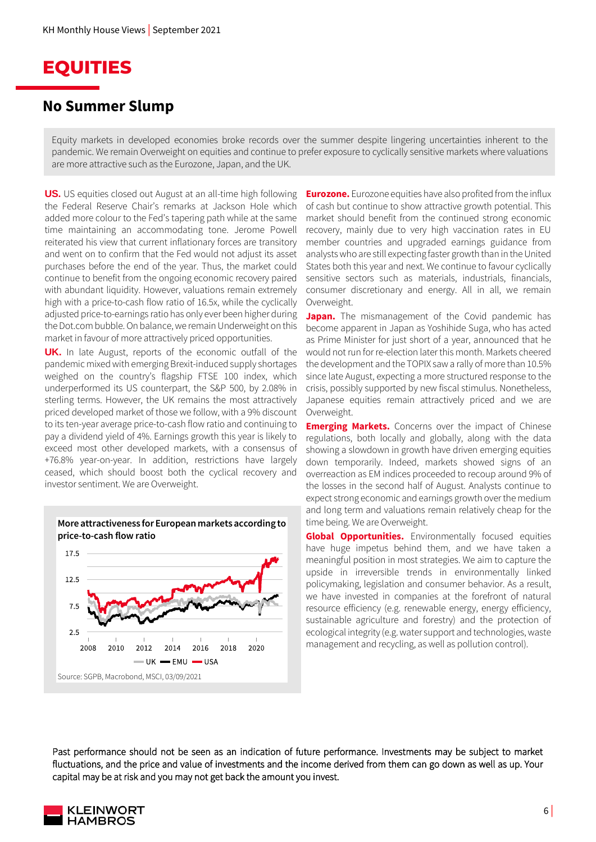

#### **No Summer Slump**

Equity markets in developed economies broke records over the summer despite lingering uncertainties inherent to the pandemic. We remain Overweight on equities and continue to prefer exposure to cyclically sensitive markets where valuations are more attractive such as the Eurozone, Japan, and the UK.

**US.** US equities closed out August at an all-time high following the Federal Reserve Chair's remarks at Jackson Hole which added more colour to the Fed's tapering path while at the same time maintaining an accommodating tone. Jerome Powell reiterated his view that current inflationary forces are transitory and went on to confirm that the Fed would not adjust its asset purchases before the end of the year. Thus, the market could continue to benefit from the ongoing economic recovery paired with abundant liquidity. However, valuations remain extremely high with a price-to-cash flow ratio of 16.5x, while the cyclically adjusted price-to-earnings ratio has only ever been higher during the Dot.com bubble. On balance, we remain Underweight on this market in favour of more attractively priced opportunities.

**UK.** In late August, reports of the economic outfall of the pandemic mixed with emerging Brexit-induced supply shortages weighed on the country's flagship FTSE 100 index, which underperformed its US counterpart, the S&P 500, by 2.08% in sterling terms. However, the UK remains the most attractively priced developed market of those we follow, with a 9% discount to its ten-year average price-to-cash flow ratio and continuing to pay a dividend yield of 4%. Earnings growth this year is likely to exceed most other developed markets, with a consensus of +76.8% year-on-year. In addition, restrictions have largely ceased, which should boost both the cyclical recovery and investor sentiment. We are Overweight.



**Eurozone.** Eurozone equities have also profited from the influx of cash but continue to show attractive growth potential. This market should benefit from the continued strong economic recovery, mainly due to very high vaccination rates in EU member countries and upgraded earnings guidance from analysts who are still expecting faster growth than in the United States both this year and next. We continue to favour cyclically sensitive sectors such as materials, industrials, financials, consumer discretionary and energy. All in all, we remain Overweight.

**Japan.** The mismanagement of the Covid pandemic has become apparent in Japan as Yoshihide Suga, who has acted as Prime Minister for just short of a year, announced that he would not run for re-election later this month. Markets cheered the development and the TOPIX saw a rally of more than 10.5% since late August, expecting a more structured response to the crisis, possibly supported by new fiscal stimulus. Nonetheless, Japanese equities remain attractively priced and we are Overweight.

**Emerging Markets.** Concerns over the impact of Chinese regulations, both locally and globally, along with the data showing a slowdown in growth have driven emerging equities down temporarily. Indeed, markets showed signs of an overreaction as EM indices proceeded to recoup around 9% of the losses in the second half of August. Analysts continue to expect strong economic and earnings growth over the medium and long term and valuations remain relatively cheap for the time being. We are Overweight.

**Global Opportunities.** Environmentally focused equities have huge impetus behind them, and we have taken a meaningful position in most strategies. We aim to capture the upside in irreversible trends in environmentally linked policymaking, legislation and consumer behavior. As a result, we have invested in companies at the forefront of natural resource efficiency (e.g. renewable energy, energy efficiency, sustainable agriculture and forestry) and the protection of ecological integrity (e.g. water support and technologies, waste management and recycling, as well as pollution control).

Past performance should not be seen as an indication of future performance. Investments may be subject to market fluctuations, and the price and value of investments and the income derived from them can go down as well as up. Your capital may be at risk and you may not get back the amount you invest.

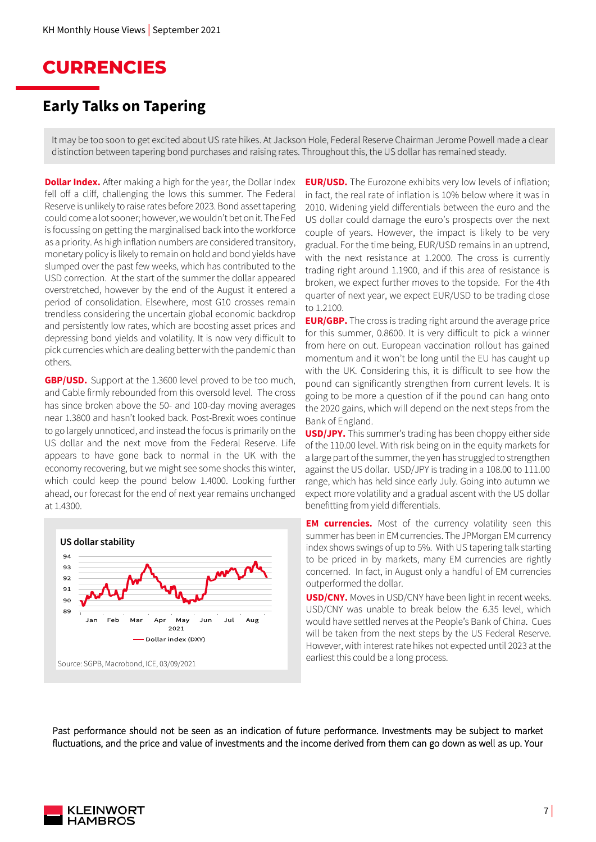### **CURRENCIES**

### **Early Talks on Tapering**

It may be too soon to get excited about US rate hikes. At Jackson Hole, Federal Reserve Chairman Jerome Powell made a clear distinction between tapering bond purchases and raising rates. Throughout this, the US dollar has remained steady.

**Dollar Index.** After making a high for the year, the Dollar Index fell off a cliff, challenging the lows this summer. The Federal Reserve is unlikely to raise rates before 2023. Bond asset tapering could come a lot sooner; however, we wouldn't bet on it. The Fed is focussing on getting the marginalised back into the workforce as a priority. As high inflation numbers are considered transitory, monetary policy is likely to remain on hold and bond yields have slumped over the past few weeks, which has contributed to the USD correction. At the start of the summer the dollar appeared overstretched, however by the end of the August it entered a period of consolidation. Elsewhere, most G10 crosses remain trendless considering the uncertain global economic backdrop and persistently low rates, which are boosting asset prices and depressing bond yields and volatility. It is now very difficult to pick currencies which are dealing better with the pandemic than others.

**GBP/USD.** Support at the 1.3600 level proved to be too much, and Cable firmly rebounded from this oversold level. The cross has since broken above the 50- and 100-day moving averages near 1.3800 and hasn't looked back. Post-Brexit woes continue to go largely unnoticed, and instead the focus is primarily on the US dollar and the next move from the Federal Reserve. Life appears to have gone back to normal in the UK with the economy recovering, but we might see some shocks this winter, which could keep the pound below 1.4000. Looking further ahead, our forecast for the end of next year remains unchanged at 1.4300.



**EUR/USD.** The Eurozone exhibits very low levels of inflation; in fact, the real rate of inflation is 10% below where it was in 2010. Widening yield differentials between the euro and the US dollar could damage the euro's prospects over the next couple of years. However, the impact is likely to be very gradual. For the time being, EUR/USD remains in an uptrend, with the next resistance at 1.2000. The cross is currently trading right around 1.1900, and if this area of resistance is broken, we expect further moves to the topside. For the 4th quarter of next year, we expect EUR/USD to be trading close to 1.2100.

**EUR/GBP.** The cross is trading right around the average price for this summer, 0.8600. It is very difficult to pick a winner from here on out. European vaccination rollout has gained momentum and it won't be long until the EU has caught up with the UK. Considering this, it is difficult to see how the pound can significantly strengthen from current levels. It is going to be more a question of if the pound can hang onto the 2020 gains, which will depend on the next steps from the Bank of England.

**USD/JPY.** This summer's trading has been choppy either side of the 110.00 level. With risk being on in the equity markets for a large part of the summer, the yen has struggled to strengthen against the US dollar. USD/JPY is trading in a 108.00 to 111.00 range, which has held since early July. Going into autumn we expect more volatility and a gradual ascent with the US dollar benefitting from yield differentials.

**EM currencies.** Most of the currency volatility seen this summer has been in EM currencies. The JPMorgan EM currency index shows swings of up to 5%. With US tapering talk starting to be priced in by markets, many EM currencies are rightly concerned. In fact, in August only a handful of EM currencies outperformed the dollar.

**USD/CNY.** Moves in USD/CNY have been light in recent weeks. USD/CNY was unable to break below the 6.35 level, which would have settled nerves at the People's Bank of China. Cues will be taken from the next steps by the US Federal Reserve. However, with interest rate hikes not expected until 2023 at the earliest this could be a long process.

Past performance should not be seen as an indication of future performance. Investments may be subject to market fluctuations, and the price and value of investments and the income derived from them can go down as well as up. Your

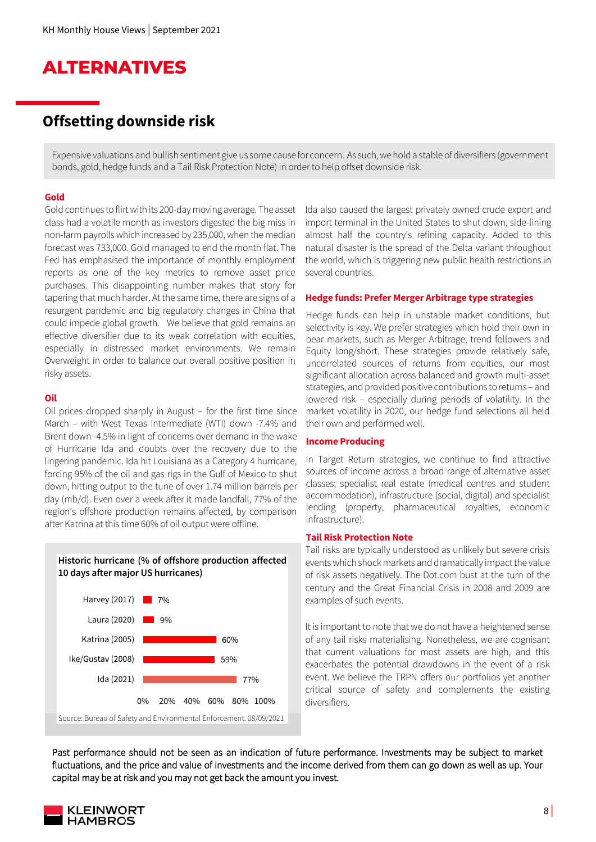### **ALTERNATIVES**

### **Offsetting downside risk**

Expensive valuations and bullish sentiment give us some cause for concern. As such, we hold a stable of diversifiers (government bonds, gold, hedge funds and a Tail Risk Protection Note) in order to help offset downside risk.

#### **Gold**

Gold continues to flirt with its 200-day moving average. The asset class had a volatile month as investors digested the big miss in non-farm payrolls which increased by 235,000, when the median forecast was 733,000. Gold managed to end the month flat. The Fed has emphasised the importance of monthly employment reports as one of the key metrics to remove asset price purchases. This disappointing number makes that story for tapering that much harder. At the same time, there are signs of a resurgent pandemic and big regulatory changes in China that could impede global growth. We believe that gold remains an effective diversifier due to its weak correlation with equities, especially in distressed market environments. We remain Overweight in order to balance our overall positive position in risky assets.

#### **Oil**

Oil prices dropped sharply in August – for the first time since March – with West Texas Intermediate (WTI) down -7.4% and Brent down -4.5% in light of concerns over demand in the wake of Hurricane Ida and doubts over the recovery due to the lingering pandemic. Ida hit Louisiana as a Category 4 hurricane, forcing 95% of the oil and gas rigs in the Gulf of Mexico to shut down, hitting output to the tune of over 1.74 million barrels per day (mb/d). Even over a week after it made landfall, 77% of the region's offshore production remains affected, by comparison after Katrina at this time 60% of oil output were offline.





Ida also caused the largest privately owned crude export and import terminal in the United States to shut down, side-lining almost half the country's refining capacity. Added to this natural disaster is the spread of the Delta variant throughout the world, which is triggering new public health restrictions in several countries.

#### **Hedge funds: Prefer Merger Arbitrage type strategies**

Hedge funds can help in unstable market conditions, but selectivity is key. We prefer strategies which hold their own in bear markets, such as Merger Arbitrage, trend followers and Equity long/short. These strategies provide relatively safe, uncorrelated sources of returns from equities, our most significant allocation across balanced and growth multi-asset strategies, and provided positive contributions to returns – and lowered risk – especially during periods of volatility. In the market volatility in 2020, our hedge fund selections all held their own and performed well.

#### **Income Producing**

In Target Return strategies, we continue to find attractive sources of income across a broad range of alternative asset classes; specialist real estate (medical centres and student accommodation), infrastructure (social, digital) and specialist lending (property, pharmaceutical royalties, economic infrastructure).

#### **Tail Risk Protection Note**

Tail risks are typically understood as unlikely but severe crisis events which shock markets and dramatically impact the value of risk assets negatively. The Dot.com bust at the turn of the century and the Great Financial Crisis in 2008 and 2009 are examples of such events.

It is important to note that we do not have a heightened sense of any tail risks materialising. Nonetheless, we are cognisant that current valuations for most assets are high, and this exacerbates the potential drawdowns in the event of a risk event. We believe the TRPN offers our portfolios yet another critical source of safety and complements the existing diversifiers.

Past performance should not be seen as an indication of future performance. Investments may be subject to market fluctuations, and the price and value of investments and the income derived from them can go down as well as up. Your capital may be at risk and you may not get back the amount you invest.

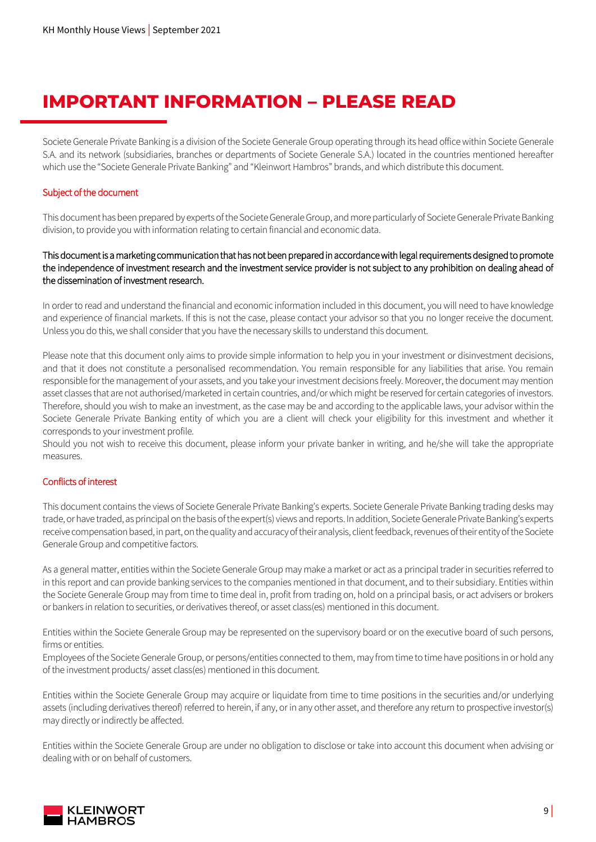### **IMPORTANT INFORMATION – PLEASE READ**

Societe Generale Private Banking is a division of the Societe Generale Group operating through its head office within Societe Generale S.A. and its network (subsidiaries, branches or departments of Societe Generale S.A.) located in the countries mentioned hereafter which use the "Societe Generale Private Banking" and "Kleinwort Hambros" brands, and which distribute this document.

#### Subject of the document

This document has been prepared by experts of the Societe Generale Group, and more particularly of Societe Generale Private Banking division, to provide you with information relating to certain financial and economic data.

#### This document is a marketing communication that has not been prepared in accordance with legal requirements designed to promote the independence of investment research and the investment service provider is not subject to any prohibition on dealing ahead of the dissemination of investment research.

In order to read and understand the financial and economic information included in this document, you will need to have knowledge and experience of financial markets. If this is not the case, please contact your advisor so that you no longer receive the document. Unless you do this, we shall consider that you have the necessary skills to understand this document.

Please note that this document only aims to provide simple information to help you in your investment or disinvestment decisions, and that it does not constitute a personalised recommendation. You remain responsible for any liabilities that arise. You remain responsible for the management of your assets, and you take your investment decisions freely. Moreover, the document may mention asset classes that are not authorised/marketed in certain countries, and/or which might be reserved for certain categories of investors. Therefore, should you wish to make an investment, as the case may be and according to the applicable laws, your advisor within the Societe Generale Private Banking entity of which you are a client will check your eligibility for this investment and whether it corresponds to your investment profile.

Should you not wish to receive this document, please inform your private banker in writing, and he/she will take the appropriate measures.

#### Conflicts of interest

This document contains the views of Societe Generale Private Banking's experts. Societe Generale Private Banking trading desks may trade, or have traded, as principal on the basis of the expert(s) views and reports. In addition, Societe Generale Private Banking's experts receive compensation based, in part, on the quality and accuracy of their analysis, client feedback, revenues of their entityof the Societe Generale Group and competitive factors.

As a general matter, entities within the Societe Generale Group may make a market or act as a principal trader in securities referred to in this report and can provide banking services to the companies mentioned in that document, and to their subsidiary. Entities within the Societe Generale Group may from time to time deal in, profit from trading on, hold on a principal basis, or act advisers or brokers or bankers in relation to securities, or derivatives thereof, or asset class(es) mentioned in this document.

Entities within the Societe Generale Group may be represented on the supervisory board or on the executive board of such persons, firms or entities.

Employees of the Societe Generale Group, or persons/entities connected to them, may from time to time have positions in or hold any of the investment products/ asset class(es) mentioned in this document.

Entities within the Societe Generale Group may acquire or liquidate from time to time positions in the securities and/or underlying assets (including derivatives thereof) referred to herein, if any, or in any other asset, and therefore any return to prospective investor(s) may directly or indirectly be affected.

Entities within the Societe Generale Group are under no obligation to disclose or take into account this document when advising or dealing with or on behalf of customers.

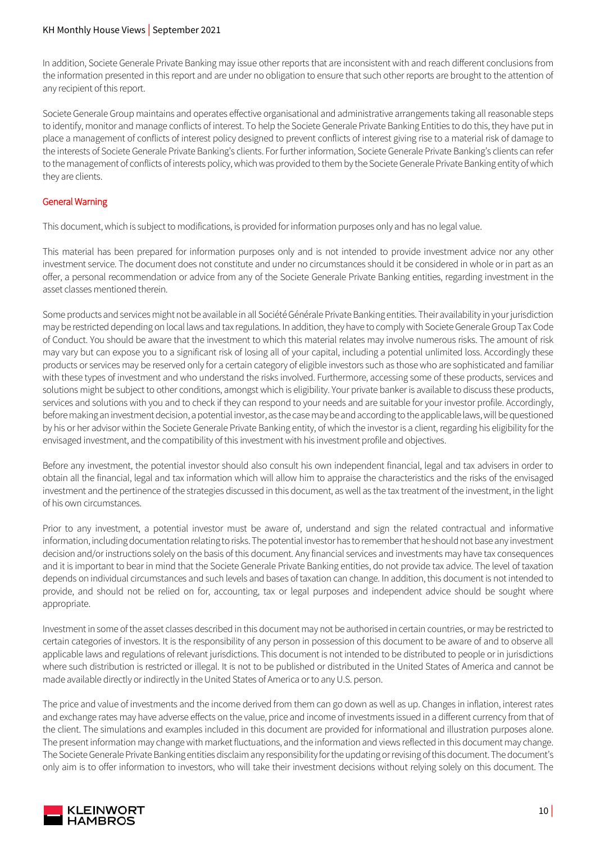#### KH Monthly House Views | September 2021

In addition, Societe Generale Private Banking may issue other reports that are inconsistent with and reach different conclusions from the information presented in this report and are under no obligation to ensure that such other reports are brought to the attention of any recipient of this report.

Societe Generale Group maintains and operates effective organisational and administrative arrangements taking all reasonable steps to identify, monitor and manage conflicts of interest. To help the Societe Generale Private Banking Entities to do this, they have put in place a management of conflicts of interest policy designed to prevent conflicts of interest giving rise to a material risk of damage to the interests of Societe Generale Private Banking's clients. For further information, Societe Generale Private Banking's clients can refer to the management of conflicts of interests policy, which was provided to them by the Societe Generale Private Banking entity of which they are clients.

#### General Warning

This document, which is subject to modifications, is provided for information purposes only and has no legal value.

This material has been prepared for information purposes only and is not intended to provide investment advice nor any other investment service. The document does not constitute and under no circumstances should it be considered in whole or in part as an offer, a personal recommendation or advice from any of the Societe Generale Private Banking entities, regarding investment in the asset classes mentioned therein.

Some products and services might not be available in all Société Générale Private Banking entities. Their availability in your jurisdiction may be restricted depending on local laws and tax regulations. In addition, they have to comply with Societe Generale Group Tax Code of Conduct. You should be aware that the investment to which this material relates may involve numerous risks. The amount of risk may vary but can expose you to a significant risk of losing all of your capital, including a potential unlimited loss. Accordingly these products or services may be reserved only for a certain category of eligible investors such as those who are sophisticated and familiar with these types of investment and who understand the risks involved. Furthermore, accessing some of these products, services and solutions might be subject to other conditions, amongst which is eligibility. Your private banker is available to discuss these products, services and solutions with you and to check if they can respond to your needs and are suitable for your investor profile. Accordingly, before making an investment decision, a potential investor, as the case may be and according to the applicable laws, will be questioned by his or her advisor within the Societe Generale Private Banking entity, of which the investor is a client, regarding his eligibility for the envisaged investment, and the compatibility of this investment with his investment profile and objectives.

Before any investment, the potential investor should also consult his own independent financial, legal and tax advisers in order to obtain all the financial, legal and tax information which will allow him to appraise the characteristics and the risks of the envisaged investment and the pertinence of the strategies discussed in this document, as well as the tax treatment of the investment, in the light of his own circumstances.

Prior to any investment, a potential investor must be aware of, understand and sign the related contractual and informative information, including documentation relating to risks. The potential investor has to remember that he should not base any investment decision and/or instructions solely on the basis of this document. Any financial services and investments may have tax consequences and it is important to bear in mind that the Societe Generale Private Banking entities, do not provide tax advice. The level of taxation depends on individual circumstances and such levels and bases of taxation can change. In addition, this document is not intended to provide, and should not be relied on for, accounting, tax or legal purposes and independent advice should be sought where appropriate.

Investment in some of the asset classes described in this document may not be authorised in certain countries, or may be restricted to certain categories of investors. It is the responsibility of any person in possession of this document to be aware of and to observe all applicable laws and regulations of relevant jurisdictions. This document is not intended to be distributed to people or in jurisdictions where such distribution is restricted or illegal. It is not to be published or distributed in the United States of America and cannot be made available directly or indirectly in the United States of America or to any U.S. person.

The price and value of investments and the income derived from them can go down as well as up. Changes in inflation, interest rates and exchange rates may have adverse effects on the value, price and income of investments issued in a different currency from that of the client. The simulations and examples included in this document are provided for informational and illustration purposes alone. The present information may change with market fluctuations, and the information and views reflected in this document may change. The Societe Generale Private Banking entities disclaim any responsibility for the updating or revising of this document. The document's only aim is to offer information to investors, who will take their investment decisions without relying solely on this document. The

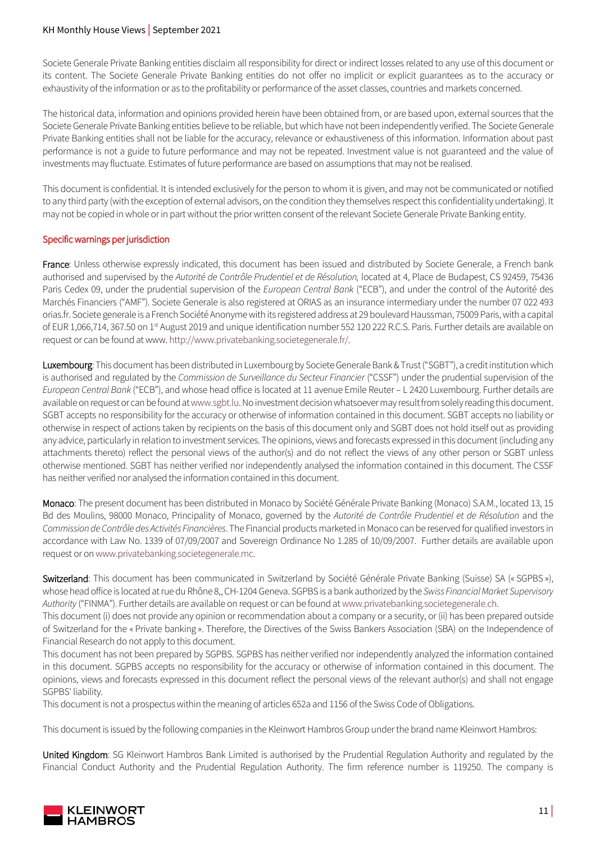#### KH Monthly House Views | September 2021

Societe Generale Private Banking entities disclaim all responsibility for direct or indirect losses related to any use of this document or its content. The Societe Generale Private Banking entities do not offer no implicit or explicit guarantees as to the accuracy or exhaustivity of the information or as to the profitability or performance of the asset classes, countries and markets concerned.

The historical data, information and opinions provided herein have been obtained from, or are based upon, external sources that the Societe Generale Private Banking entities believe to be reliable, but which have not been independently verified. The Societe Generale Private Banking entities shall not be liable for the accuracy, relevance or exhaustiveness of this information. Information about past performance is not a guide to future performance and may not be repeated. Investment value is not guaranteed and the value of investments may fluctuate. Estimates of future performance are based on assumptions that may not be realised.

This document is confidential. It is intended exclusively for the person to whom it is given, and may not be communicated or notified to any third party (with the exception of external advisors, on the condition they themselves respect this confidentiality undertaking). It may not be copied in whole or in part without the prior written consent of the relevant Societe Generale Private Banking entity.

#### Specific warnings per jurisdiction

France: Unless otherwise expressly indicated, this document has been issued and distributed by Societe Generale, a French bank authorised and supervised by the *Autorité de Contrôle Prudentiel et de Résolution,* located at 4, Place de Budapest, CS 92459, 75436 Paris Cedex 09, under the prudential supervision of the *European Central Bank* ("ECB"), and under the control of the Autorité des Marchés Financiers ("AMF"). Societe Generale is also registered at ORIAS as an insurance intermediary under the number 07 022 493 orias.fr. Societe generale is a French Société Anonyme with its registered address at 29 boulevard Haussman, 75009 Paris, with a capital of EUR 1,066,714, 367.50 on 1<sup>st</sup> August 2019 and unique identification number 552 120 222 R.C.S. Paris. Further details are available on request or can be found at www[. http://www.privatebanking.societegenerale.fr/.](http://www.privatebanking.societegenerale.fr/)

Luxembourg: This document has been distributed in Luxembourg by Societe Generale Bank & Trust ("SGBT"), a credit institution which is authorised and regulated by the *Commission de Surveillance du Secteur Financier* ("CSSF") under the prudential supervision of the *European Central Bank* ("ECB"), and whose head office is located at 11 avenue Emile Reuter – L 2420 Luxembourg. Further details are available on request or can be found a[t www.sgbt.lu.](http://www.sgbt.lu/)No investment decision whatsoever may result from solely reading this document. SGBT accepts no responsibility for the accuracy or otherwise of information contained in this document. SGBT accepts no liability or otherwise in respect of actions taken by recipients on the basis of this document only and SGBT does not hold itself out as providing any advice, particularly in relation to investment services. The opinions, views and forecasts expressed in this document (including any attachments thereto) reflect the personal views of the author(s) and do not reflect the views of any other person or SGBT unless otherwise mentioned. SGBT has neither verified nor independently analysed the information contained in this document. The CSSF has neither verified nor analysed the information contained in this document.

Monaco: The present document has been distributed in Monaco by Société Générale Private Banking (Monaco) S.A.M., located 13, 15 Bd des Moulins, 98000 Monaco, Principality of Monaco, governed by the *Autorité de Contrôle Prudentiel et de Résolution* and the *Commission de Contrôle des Activités Financières*. The Financial products marketed in Monaco can be reserved for qualified investors in accordance with Law No. 1339 of 07/09/2007 and Sovereign Ordinance No 1.285 of 10/09/2007. Further details are available upon request or o[n www.privatebanking.societegenerale.mc.](http://www.privatebanking.societegenerale.mc/)

Switzerland: This document has been communicated in Switzerland by Société Générale Private Banking (Suisse) SA (« SGPBS »), whose head office is located at rue du Rhône 8,, CH-1204 Geneva. SGPBS is a bank authorized by the *Swiss Financial Market Supervisory Authority* ("FINMA"). Further details are available on request or can be found a[t www.privatebanking.societegenerale.ch.](http://www.privatebanking.societegenerale.ch/)

This document (i) does not provide any opinion or recommendation about a company or a security, or (ii) has been prepared outside of Switzerland for the « Private banking ». Therefore, the Directives of the Swiss Bankers Association (SBA) on the Independence of Financial Research do not apply to this document.

This document has not been prepared by SGPBS. SGPBS has neither verified nor independently analyzed the information contained in this document. SGPBS accepts no responsibility for the accuracy or otherwise of information contained in this document. The opinions, views and forecasts expressed in this document reflect the personal views of the relevant author(s) and shall not engage SGPBS' liability.

This document is not a prospectus within the meaning of articles 652a and 1156 of the Swiss Code of Obligations.

This document is issued by the following companies in the Kleinwort Hambros Group under the brand name Kleinwort Hambros:

United Kingdom: SG Kleinwort Hambros Bank Limited is authorised by the Prudential Regulation Authority and regulated by the Financial Conduct Authority and the Prudential Regulation Authority. The firm reference number is 119250. The company is